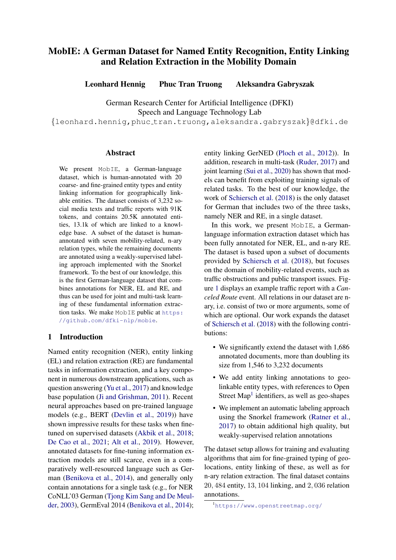# MobIE: A German Dataset for Named Entity Recognition, Entity Linking and Relation Extraction in the Mobility Domain

Leonhard Hennig Phuc Tran Truong Aleksandra Gabryszak

German Research Center for Artificial Intelligence (DFKI) Speech and Language Technology Lab

{leonhard.hennig,phuc tran.truong,aleksandra.gabryszak}@dfki.de

#### Abstract

We present Mob<sub>IE</sub>, a German-language dataset, which is human-annotated with 20 coarse- and fine-grained entity types and entity linking information for geographically linkable entities. The dataset consists of 3,232 social media texts and traffic reports with 91K tokens, and contains 20.5K annotated entities, 13.1k of which are linked to a knowledge base. A subset of the dataset is humanannotated with seven mobility-related, n-ary relation types, while the remaining documents are annotated using a weakly-supervised labeling approach implemented with the Snorkel framework. To the best of our knowledge, this is the first German-language dataset that combines annotations for NER, EL and RE, and thus can be used for joint and multi-task learning of these fundamental information extraction tasks. We make MobIE public at [https:](https://github.com/dfki-nlp/mobie) [//github.com/dfki-nlp/mobie](https://github.com/dfki-nlp/mobie).

# 1 Introduction

Named entity recognition (NER), entity linking (EL) and relation extraction (RE) are fundamental tasks in information extraction, and a key component in numerous downstream applications, such as question answering [\(Yu et al.,](#page-4-0) [2017\)](#page-4-0) and knowledge base population [\(Ji and Grishman,](#page-4-1) [2011\)](#page-4-1). Recent neural approaches based on pre-trained language models (e.g., BERT [\(Devlin et al.,](#page-4-2) [2019\)](#page-4-2)) have shown impressive results for these tasks when finetuned on supervised datasets [\(Akbik et al.,](#page-4-3) [2018;](#page-4-3) [De Cao et al.,](#page-4-4) [2021;](#page-4-4) [Alt et al.,](#page-4-5) [2019\)](#page-4-5). However, annotated datasets for fine-tuning information extraction models are still scarce, even in a comparatively well-resourced language such as German [\(Benikova et al.,](#page-4-6) [2014\)](#page-4-6), and generally only contain annotations for a single task (e.g., for NER CoNLL'03 German [\(Tjong Kim Sang and De Meul](#page-4-7)[der,](#page-4-7) [2003\)](#page-4-7), GermEval 2014 [\(Benikova et al.,](#page-4-6) [2014\)](#page-4-6);

entity linking GerNED [\(Ploch et al.,](#page-4-8) [2012\)](#page-4-8)). In addition, research in multi-task [\(Ruder,](#page-4-9) [2017\)](#page-4-9) and joint learning [\(Sui et al.,](#page-4-10) [2020\)](#page-4-10) has shown that models can benefit from exploiting training signals of related tasks. To the best of our knowledge, the work of [Schiersch et al.](#page-4-11) [\(2018\)](#page-4-11) is the only dataset for German that includes two of the three tasks, namely NER and RE, in a single dataset.

In this work, we present MobIE, a Germanlanguage information extraction dataset which has been fully annotated for NER, EL, and n-ary RE. The dataset is based upon a subset of documents provided by [Schiersch et al.](#page-4-11) [\(2018\)](#page-4-11), but focuses on the domain of mobility-related events, such as traffic obstructions and public transport issues. Figure [1](#page-1-0) displays an example traffic report with a *Canceled Route* event. All relations in our dataset are nary, i.e. consist of two or more arguments, some of which are optional. Our work expands the dataset of [Schiersch et al.](#page-4-11) [\(2018\)](#page-4-11) with the following contributions:

- We significantly extend the dataset with 1,686 annotated documents, more than doubling its size from 1,546 to 3,232 documents
- We add entity linking annotations to geolinkable entity types, with references to Open Street Map<sup>[1](#page-0-0)</sup> identifiers, as well as geo-shapes
- We implement an automatic labeling approach using the Snorkel framework [\(Ratner et al.,](#page-4-12) [2017\)](#page-4-12) to obtain additional high quality, but weakly-supervised relation annotations

The dataset setup allows for training and evaluating algorithms that aim for fine-grained typing of geolocations, entity linking of these, as well as for n-ary relation extraction. The final dataset contains 20, 484 entity, 13, 104 linking, and 2, 036 relation annotations.

<span id="page-0-0"></span><sup>1</sup><https://www.openstreetmap.org/>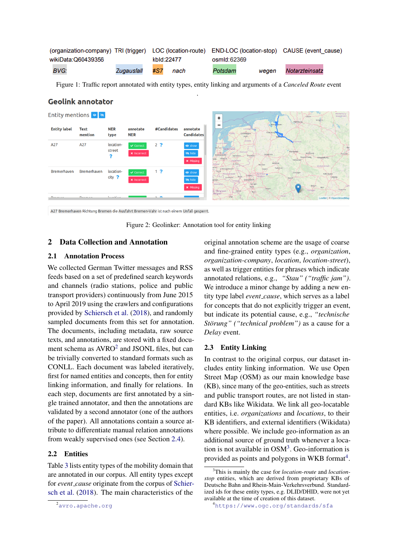<span id="page-1-0"></span>

|                    |            |     |            | (organization-company) TRI (trigger) LOC (location-route) END-LOC (location-stop) CAUSE (event cause) |       |                |  |
|--------------------|------------|-----|------------|-------------------------------------------------------------------------------------------------------|-------|----------------|--|
| wikiData:Q60439356 |            |     | kbld:22477 | osmld:62369                                                                                           |       |                |  |
| <b>BVG:</b>        | Zugausfall | #S7 | nach       | Potsdam                                                                                               | weaen | Notarzteinsatz |  |

Figure 1: Traffic report annotated with entity types, entity linking and arguments of a *Canceled Route* event .

# <span id="page-1-4"></span>**Geolink annotator**



A27 Bremerhaven Richtung Bremen die Ausfahrt Bremen-Vahr ist nach einem Unfall gesperrt.

Figure 2: Geolinker: Annotation tool for entity linking

## 2 Data Collection and Annotation

## 2.1 Annotation Process

We collected German Twitter messages and RSS feeds based on a set of predefined search keywords and channels (radio stations, police and public transport providers) continuously from June 2015 to April 2019 using the crawlers and configurations provided by [Schiersch et al.](#page-4-11) [\(2018\)](#page-4-11), and randomly sampled documents from this set for annotation. The documents, including metadata, raw source texts, and annotations, are stored with a fixed document schema as  $AVRO<sup>2</sup>$  $AVRO<sup>2</sup>$  $AVRO<sup>2</sup>$  and JSONL files, but can be trivially converted to standard formats such as CONLL. Each document was labeled iteratively, first for named entities and concepts, then for entity linking information, and finally for relations. In each step, documents are first annotated by a single trained annotator, and then the annotations are validated by a second annotator (one of the authors of the paper). All annotations contain a source attribute to differentiate manual relation annotations from weakly supervised ones (see Section [2.4\)](#page-2-0).

# 2.2 Entities

Table [3](#page-3-0) lists entity types of the mobility domain that are annotated in our corpus. All entity types except for *event cause* originate from the corpus of [Schier](#page-4-11)[sch et al.](#page-4-11) [\(2018\)](#page-4-11). The main characteristics of the

original annotation scheme are the usage of coarse and fine-grained entity types (e.g., *organization*, *organization-company*, *location*, *location-street*), as well as trigger entities for phrases which indicate annotated relations, e.g., *"Stau" ("traffic jam")*. We introduce a minor change by adding a new entity type label *event cause*, which serves as a label for concepts that do not explicitly trigger an event, but indicate its potential cause, e.g., *"technische Störung" ("technical problem")* as a cause for a *Delay* event.

#### 2.3 Entity Linking

In contrast to the original corpus, our dataset includes entity linking information. We use Open Street Map (OSM) as our main knowledge base (KB), since many of the geo-entities, such as streets and public transport routes, are not listed in standard KBs like Wikidata. We link all geo-locatable entities, i.e. *organizations* and *locations*, to their KB identifiers, and external identifiers (Wikidata) where possible. We include geo-information as an additional source of ground truth whenever a location is not available in  $OSM<sup>3</sup>$  $OSM<sup>3</sup>$  $OSM<sup>3</sup>$ . Geo-information is provided as points and polygons in WKB format<sup>[4](#page-1-3)</sup>.

<span id="page-1-1"></span><sup>2</sup><avro.apache.org>

<span id="page-1-2"></span><sup>3</sup>This is mainly the case for *location-route* and *locationstop* entities, which are derived from proprietary KBs of Deutsche Bahn and Rhein-Main-Verkehrsverbund. Standardized ids for these entity types, e.g. DLID/DHID, were not yet available at the time of creation of this dataset.

<span id="page-1-3"></span><sup>4</sup><https://www.ogc.org/standards/sfa>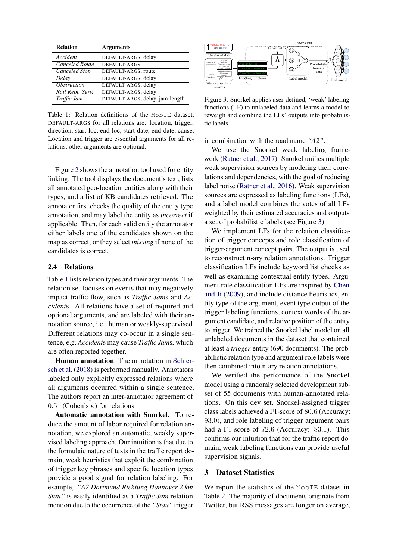<span id="page-2-1"></span>

| <b>Relation</b>           | <b>Arguments</b>                |
|---------------------------|---------------------------------|
| Accident                  | DEFAULT-ARGS, delay             |
| <b>Canceled Route</b>     | DEFAULT-ARGS                    |
| Canceled Stop             | DEFAULT-ARGS, route             |
| Delay                     | DEFAULT-ARGS, delay             |
| <i><b>Obstruction</b></i> | DEFAULT-ARGS, delay             |
| Rail Repl. Serv.          | DEFAULT-ARGS, delay             |
| Traffic Jam               | DEFAULT-ARGS, delay, jam-length |

Table 1: Relation definitions of the MobIE dataset. DEFAULT-ARGS for all relations are: location, trigger, direction, start-loc, end-loc, start-date, end-date, cause. Location and trigger are essential arguments for all relations, other arguments are optional.

Figure [2](#page-1-4) shows the annotation tool used for entity linking. The tool displays the document's text, lists all annotated geo-location entities along with their types, and a list of KB candidates retrieved. The annotator first checks the quality of the entity type annotation, and may label the entity as *incorrect* if applicable. Then, for each valid entity the annotator either labels one of the candidates shown on the map as correct, or they select *missing* if none of the candidates is correct.

#### <span id="page-2-0"></span>2.4 Relations

Table [1](#page-2-1) lists relation types and their arguments. The relation set focuses on events that may negatively impact traffic flow, such as *Traffic Jam*s and *Accident*s. All relations have a set of required and optional arguments, and are labeled with their annotation source, i.e., human or weakly-supervised. Different relations may co-occur in a single sentence, e.g. *Accident*s may cause *Traffic Jam*s, which are often reported together.

Human annotation. The annotation in [Schier](#page-4-11)[sch et al.](#page-4-11) [\(2018\)](#page-4-11) is performed manually. Annotators labeled only explicitly expressed relations where all arguments occurred within a single sentence. The authors report an inter-annotator agreement of 0.51 (Cohen's  $\kappa$ ) for relations.

Automatic annotation with Snorkel. To reduce the amount of labor required for relation annotation, we explored an automatic, weakly supervised labeling approach. Our intuition is that due to the formulaic nature of texts in the traffic report domain, weak heuristics that exploit the combination of trigger key phrases and specific location types provide a good signal for relation labeling. For example, *"A2 Dortmund Richtung Hannover 2 km Stau"* is easily identified as a *Traffic Jam* relation mention due to the occurrence of the *"Stau"* trigger

<span id="page-2-2"></span>

Figure 3: Snorkel applies user-defined, 'weak' labeling functions (LF) to unlabeled data and learns a model to reweigh and combine the LFs' outputs into probabilistic labels.

in combination with the road name *"A2"*.

We use the Snorkel weak labeling framework [\(Ratner et al.,](#page-4-12) [2017\)](#page-4-12). Snorkel unifies multiple weak supervision sources by modeling their correlations and dependencies, with the goal of reducing label noise [\(Ratner et al.,](#page-4-13) [2016\)](#page-4-13). Weak supervision sources are expressed as labeling functions (LFs), and a label model combines the votes of all LFs weighted by their estimated accuracies and outputs a set of probabilistic labels (see Figure [3\)](#page-2-2).

We implement LFs for the relation classification of trigger concepts and role classification of trigger-argument concept pairs. The output is used to reconstruct n-ary relation annotations. Trigger classification LFs include keyword list checks as well as examining contextual entity types. Argument role classification LFs are inspired by [Chen](#page-4-14) [and Ji](#page-4-14) [\(2009\)](#page-4-14), and include distance heuristics, entity type of the argument, event type output of the trigger labeling functions, context words of the argument candidate, and relative position of the entity to trigger. We trained the Snorkel label model on all unlabeled documents in the dataset that contained at least a *trigger* entity (690 documents). The probabilistic relation type and argument role labels were then combined into n-ary relation annotations.

We verified the performance of the Snorkel model using a randomly selected development subset of 55 documents with human-annotated relations. On this dev set, Snorkel-assigned trigger class labels achieved a F1-score of 80.6 (Accuracy: 93.0), and role labeling of trigger-argument pairs had a F1-score of 72.6 (Accuracy: 83.1). This confirms our intuition that for the traffic report domain, weak labeling functions can provide useful supervision signals.

#### 3 Dataset Statistics

We report the statistics of the MobIE dataset in Table [2.](#page-3-1) The majority of documents originate from Twitter, but RSS messages are longer on average,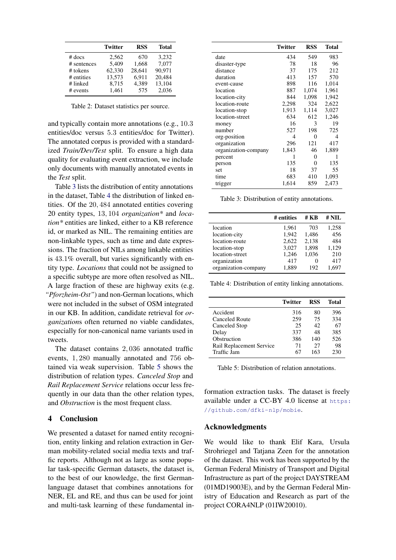<span id="page-3-1"></span>

|             | <b>Twitter</b> | <b>RSS</b> | <b>Total</b> |
|-------------|----------------|------------|--------------|
| $#$ docs    | 2,562          | 670        | 3,232        |
| # sentences | 5.409          | 1,668      | 7.077        |
| # tokens    | 62,330         | 28.641     | 90.971       |
| # entities  | 13,573         | 6.911      | 20,484       |
| # linked    | 8,715          | 4,389      | 13,104       |
| # events    | 1.461          | 575        | 2.036        |

Table 2: Dataset statistics per source.

and typically contain more annotations (e.g., 10.3 entities/doc versus 5.3 entities/doc for Twitter). The annotated corpus is provided with a standardized *Train/Dev/Test* split. To ensure a high data quality for evaluating event extraction, we include only documents with manually annotated events in the *Test* split.

Table [3](#page-3-0) lists the distribution of entity annotations in the dataset, Table [4](#page-3-2) the distribution of linked entities. Of the 20, 484 annotated entities covering 20 entity types, 13, 104 *organization\** and *location\** entities are linked, either to a KB reference id, or marked as NIL. The remaining entities are non-linkable types, such as time and date expressions. The fraction of NILs among linkable entities is 43.1% overall, but varies significantly with entity type. *Locations* that could not be assigned to a specific subtype are more often resolved as NIL. A large fraction of these are highway exits (e.g. *"Pforzheim-Ost"*) and non-German locations, which were not included in the subset of OSM integrated in our KB. In addition, candidate retrieval for *organization*s often returned no viable candidates, especially for non-canonical name variants used in tweets.

The dataset contains 2, 036 annotated traffic events, 1, 280 manually annotated and 756 obtained via weak supervision. Table [5](#page-3-3) shows the distribution of relation types. *Canceled Stop* and *Rail Replacement Service* relations occur less frequently in our data than the other relation types, and *Obstruction* is the most frequent class.

# 4 Conclusion

We presented a dataset for named entity recognition, entity linking and relation extraction in German mobility-related social media texts and traffic reports. Although not as large as some popular task-specific German datasets, the dataset is, to the best of our knowledge, the first Germanlanguage dataset that combines annotations for NER, EL and RE, and thus can be used for joint and multi-task learning of these fundamental in-

<span id="page-3-0"></span>

|                      | <b>Twitter</b> | <b>RSS</b> | <b>Total</b> |
|----------------------|----------------|------------|--------------|
| date                 | 434            | 549        | 983          |
| disaster-type        | 78             | 18         | 96           |
| distance             | 37             | 175        | 212          |
| duration             | 413            | 157        | 570          |
| event-cause          | 898            | 116        | 1,014        |
| location             | 887            | 1,074      | 1,961        |
| location-city        | 844            | 1,098      | 1,942        |
| location-route       | 2,298          | 324        | 2,622        |
| location-stop        | 1,913          | 1,114      | 3,027        |
| location-street      | 634            | 612        | 1,246        |
| money                | 16             | 3          | 19           |
| number               | 527            | 198        | 725          |
| org-position         | 4              | 0          | 4            |
| organization         | 296            | 121        | 417          |
| organization-company | 1,843          | 46         | 1,889        |
| percent              | 1              | 0          | 1            |
| person               | 135            | 0          | 135          |
| set                  | 18             | 37         | 55           |
| time                 | 683            | 410        | 1,093        |
| trigger              | 1,614          | 859        | 2,473        |

Table 3: Distribution of entity annotations.

<span id="page-3-2"></span>

|                      | # entities | # KB  | # NIL |
|----------------------|------------|-------|-------|
| location             | 1.961      | 703   | 1,258 |
| location-city        | 1.942      | 1,486 | 456   |
| location-route       | 2,622      | 2,138 | 484   |
| location-stop        | 3,027      | 1,898 | 1,129 |
| location-street      | 1,246      | 1,036 | 210   |
| organization         | 417        |       | 417   |
| organization-company | 1,889      | 192   | 1.697 |

Table 4: Distribution of entity linking annotations.

<span id="page-3-3"></span>

|                          | <b>Twitter</b> | <b>RSS</b> | Total |
|--------------------------|----------------|------------|-------|
| Accident                 | 316            | 80         | 396   |
| Canceled Route           | 259            | 75         | 334   |
| Canceled Stop            | 25             | 42         | 67    |
| Delay                    | 337            | 48         | 385   |
| Obstruction              | 386            | 140        | 526   |
| Rail Replacement Service | 71             | 27         | 98    |
| Traffic Jam              | 67             | 163        | 230   |

Table 5: Distribution of relation annotations.

formation extraction tasks. The dataset is freely available under a CC-BY 4.0 license at [https:](https://github.com/dfki-nlp/mobie) [//github.com/dfki-nlp/mobie](https://github.com/dfki-nlp/mobie).

### Acknowledgments

We would like to thank Elif Kara, Ursula Strohriegel and Tatjana Zeen for the annotation of the dataset. This work has been supported by the German Federal Ministry of Transport and Digital Infrastructure as part of the project DAYSTREAM (01MD19003E), and by the German Federal Ministry of Education and Research as part of the project CORA4NLP (01IW20010).